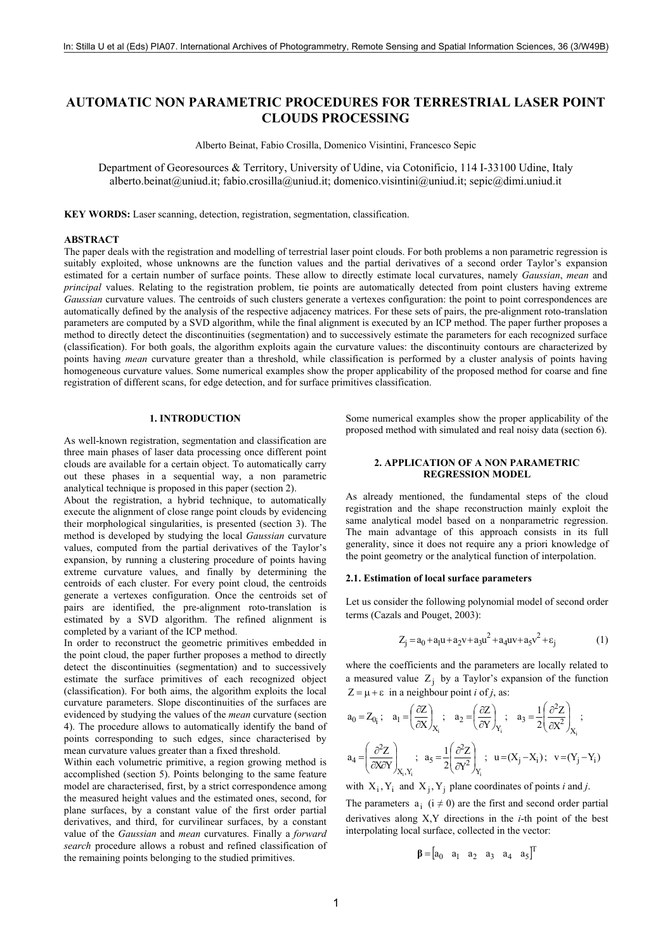# **AUTOMATIC NON PARAMETRIC PROCEDURES FOR TERRESTRIAL LASER POINT CLOUDS PROCESSING**

Alberto Beinat, Fabio Crosilla, Domenico Visintini, Francesco Sepic

Department of Georesources & Territory, University of Udine, via Cotonificio, 114 I-33100 Udine, Italy alberto.beinat@uniud.it; fabio.crosilla@uniud.it; domenico.visintini@uniud.it; sepic@dimi.uniud.it

**KEY WORDS:** Laser scanning, detection, registration, segmentation, classification.

## **ABSTRACT**

The paper deals with the registration and modelling of terrestrial laser point clouds. For both problems a non parametric regression is suitably exploited, whose unknowns are the function values and the partial derivatives of a second order Taylor's expansion estimated for a certain number of surface points. These allow to directly estimate local curvatures, namely *Gaussian*, *mean* and *principal* values. Relating to the registration problem, tie points are automatically detected from point clusters having extreme *Gaussian* curvature values. The centroids of such clusters generate a vertexes configuration: the point to point correspondences are automatically defined by the analysis of the respective adjacency matrices. For these sets of pairs, the pre-alignment roto-translation parameters are computed by a SVD algorithm, while the final alignment is executed by an ICP method. The paper further proposes a method to directly detect the discontinuities (segmentation) and to successively estimate the parameters for each recognized surface (classification). For both goals, the algorithm exploits again the curvature values: the discontinuity contours are characterized by points having *mean* curvature greater than a threshold, while classification is performed by a cluster analysis of points having homogeneous curvature values. Some numerical examples show the proper applicability of the proposed method for coarse and fine registration of different scans, for edge detection, and for surface primitives classification.

#### **1. INTRODUCTION**

As well-known registration, segmentation and classification are three main phases of laser data processing once different point clouds are available for a certain object. To automatically carry out these phases in a sequential way, a non parametric analytical technique is proposed in this paper (section 2).

About the registration, a hybrid technique, to automatically execute the alignment of close range point clouds by evidencing their morphological singularities, is presented (section 3). The method is developed by studying the local *Gaussian* curvature values, computed from the partial derivatives of the Taylor's expansion, by running a clustering procedure of points having extreme curvature values, and finally by determining the centroids of each cluster. For every point cloud, the centroids generate a vertexes configuration. Once the centroids set of pairs are identified, the pre-alignment roto-translation is estimated by a SVD algorithm. The refined alignment is completed by a variant of the ICP method.

In order to reconstruct the geometric primitives embedded in the point cloud, the paper further proposes a method to directly detect the discontinuities (segmentation) and to successively estimate the surface primitives of each recognized object (classification). For both aims, the algorithm exploits the local curvature parameters. Slope discontinuities of the surfaces are evidenced by studying the values of the *mean* curvature (section 4). The procedure allows to automatically identify the band of points corresponding to such edges, since characterised by mean curvature values greater than a fixed threshold.

Within each volumetric primitive, a region growing method is accomplished (section 5). Points belonging to the same feature model are characterised, first, by a strict correspondence among the measured height values and the estimated ones, second, for plane surfaces, by a constant value of the first order partial derivatives, and third, for curvilinear surfaces, by a constant value of the *Gaussian* and *mean* curvatures. Finally a *forward search* procedure allows a robust and refined classification of the remaining points belonging to the studied primitives.

Some numerical examples show the proper applicability of the proposed method with simulated and real noisy data (section 6).

## **2. APPLICATION OF A NON PARAMETRIC REGRESSION MODEL**

As already mentioned, the fundamental steps of the cloud registration and the shape reconstruction mainly exploit the same analytical model based on a nonparametric regression. The main advantage of this approach consists in its full generality, since it does not require any a priori knowledge of the point geometry or the analytical function of interpolation.

#### **2.1. Estimation of local surface parameters**

Let us consider the following polynomial model of second order terms (Cazals and Pouget, 2003):

$$
Z_j = a_0 + a_1 u + a_2 v + a_3 u^2 + a_4 u v + a_5 v^2 + \varepsilon_j \tag{1}
$$

where the coefficients and the parameters are locally related to a measured value  $Z_i$  by a Taylor's expansion of the function  $Z = \mu + \varepsilon$  in a neighbour point *i* of *j*, as:

$$
a_0 = Z_{0_i}; \quad a_1 = \left(\frac{\partial Z}{\partial X}\right)_{X_i}; \quad a_2 = \left(\frac{\partial Z}{\partial Y}\right)_{Y_i}; \quad a_3 = \frac{1}{2}\left(\frac{\partial^2 Z}{\partial X^2}\right)_{X_i};
$$

$$
a_4 = \left(\frac{\partial^2 Z}{\partial X \partial Y}\right)_{X_i, Y_i}; \quad a_5 = \frac{1}{2}\left(\frac{\partial^2 Z}{\partial Y^2}\right)_{Y_i}; \quad u = (X_j - X_i); \quad v = (Y_j - Y_i)
$$

with  $X_i$ ,  $Y_i$  and  $X_j$ ,  $Y_j$  plane coordinates of points *i* and *j*.

The parameters  $a_i$  ( $i \neq 0$ ) are the first and second order partial derivatives along X,Y directions in the *i*-th point of the best interpolating local surface, collected in the vector:

 $\beta = [a_0 \ a_1 \ a_2 \ a_3 \ a_4 \ a_5]^{T}$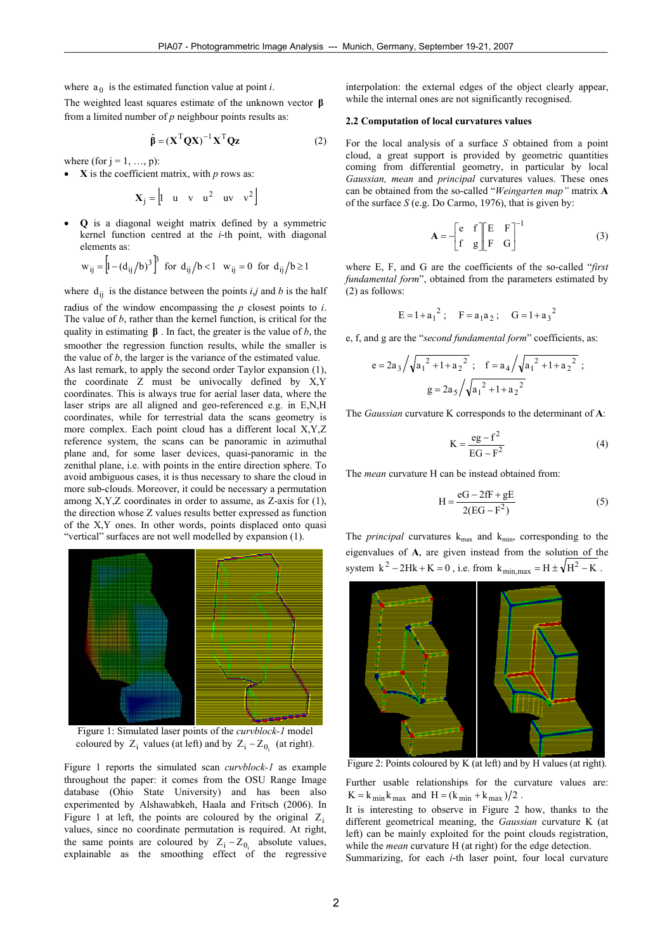where  $a_0$  is the estimated function value at point *i*.

The weighted least squares estimate of the unknown vector **β** from a limited number of *p* neighbour points results as:

$$
\hat{\beta} = (\mathbf{X}^{\mathrm{T}} \mathbf{Q} \mathbf{X})^{-1} \mathbf{X}^{\mathrm{T}} \mathbf{Q} \mathbf{z}
$$
 (2)

where (for  $j = 1, ..., p$ ):

 $\bf{X}$  is the coefficient matrix, with *p* rows as:

$$
\mathbf{X}_j = \begin{bmatrix} 1 & u & v & u^2 & uv & v^2 \end{bmatrix}
$$

• **Q** is a diagonal weight matrix defined by a symmetric kernel function centred at the *i*-th point, with diagonal elements as:

$$
w_{ij} = [1 - (d_{ij}/b)^3]^3
$$
 for  $d_{ij}/b < 1$   $w_{ij} = 0$  for  $d_{ij}/b \ge 1$ 

where  $d_{ij}$  is the distance between the points  $i, j$  and *b* is the half radius of the window encompassing the *p* closest points to *i*. The value of *b*, rather than the kernel function, is critical for the quality in estimating **β** . In fact, the greater is the value of *b*, the smoother the regression function results, while the smaller is the value of *b*, the larger is the variance of the estimated value.

As last remark, to apply the second order Taylor expansion (1), the coordinate Z must be univocally defined by X,Y coordinates. This is always true for aerial laser data, where the laser strips are all aligned and geo-referenced e.g. in E,N,H coordinates, while for terrestrial data the scans geometry is more complex. Each point cloud has a different local X,Y,Z reference system, the scans can be panoramic in azimuthal plane and, for some laser devices, quasi-panoramic in the zenithal plane, i.e. with points in the entire direction sphere. To avoid ambiguous cases, it is thus necessary to share the cloud in more sub-clouds. Moreover, it could be necessary a permutation among X,Y,Z coordinates in order to assume, as Z-axis for (1), the direction whose Z values results better expressed as function of the X,Y ones. In other words, points displaced onto quasi "vertical" surfaces are not well modelled by expansion (1).



Figure 1: Simulated laser points of the *curvblock-1* model coloured by  $Z_i$  values (at left) and by  $Z_i - Z_{0i}$  (at right).

Figure 1 reports the simulated scan *curvblock-1* as example throughout the paper: it comes from the OSU Range Image database (Ohio State University) and has been also experimented by Alshawabkeh, Haala and Fritsch (2006). In Figure 1 at left, the points are coloured by the original  $Z_i$ values, since no coordinate permutation is required. At right, the same points are coloured by  $Z_i - Z_{0_i}$  absolute values, explainable as the smoothing effect of the regressive interpolation: the external edges of the object clearly appear, while the internal ones are not significantly recognised.

## **2.2 Computation of local curvatures values**

For the local analysis of a surface *S* obtained from a point cloud, a great support is provided by geometric quantities coming from differential geometry, in particular by local *Gaussian, mean* and *principal* curvatures values. These ones can be obtained from the so-called "*Weingarten map"* matrix **A** of the surface *S* (e.g. Do Carmo, 1976), that is given by:

$$
\mathbf{A} = -\begin{bmatrix} e & f \\ f & g \end{bmatrix} \begin{bmatrix} E & F \\ F & G \end{bmatrix}^{-1}
$$
 (3)

where E, F, and G are the coefficients of the so-called "*first fundamental form*", obtained from the parameters estimated by (2) as follows:

$$
E = 1 + a_1^2
$$
;  $F = a_1 a_2$ ;  $G = 1 + a_3^2$ 

e, f, and g are the "*second fundamental form*" coefficients, as:

$$
e = 2a_3 / \sqrt{a_1^2 + 1 + a_2^2}
$$
;  $f = a_4 / \sqrt{a_1^2 + 1 + a_2^2}$ ;  
 $g = 2a_5 / \sqrt{a_1^2 + 1 + a_2^2}$ 

The *Gaussian* curvature K corresponds to the determinant of **A**:

$$
K = \frac{eg - f^2}{EG - F^2}
$$
 (4)

The *mean* curvature H can be instead obtained from:

$$
H = \frac{eG - 2fF + gE}{2(EG - F^2)}
$$
 (5)

The *principal* curvatures  $k_{max}$  and  $k_{min}$ , corresponding to the eigenvalues of **A**, are given instead from the solution of the system  $k^2 - 2Hk + K = 0$ , i.e. from  $k_{min,max} = H \pm \sqrt{H^2 - K}$ .



Figure 2: Points coloured by K (at left) and by H values (at right).

Further usable relationships for the curvature values are:  $K = k_{min} k_{max}$  and  $H = (k_{min} + k_{max})/2$ .

It is interesting to observe in Figure 2 how, thanks to the different geometrical meaning, the *Gaussian* curvature K (at left) can be mainly exploited for the point clouds registration, while the *mean* curvature H (at right) for the edge detection.

Summarizing, for each *i*-th laser point, four local curvature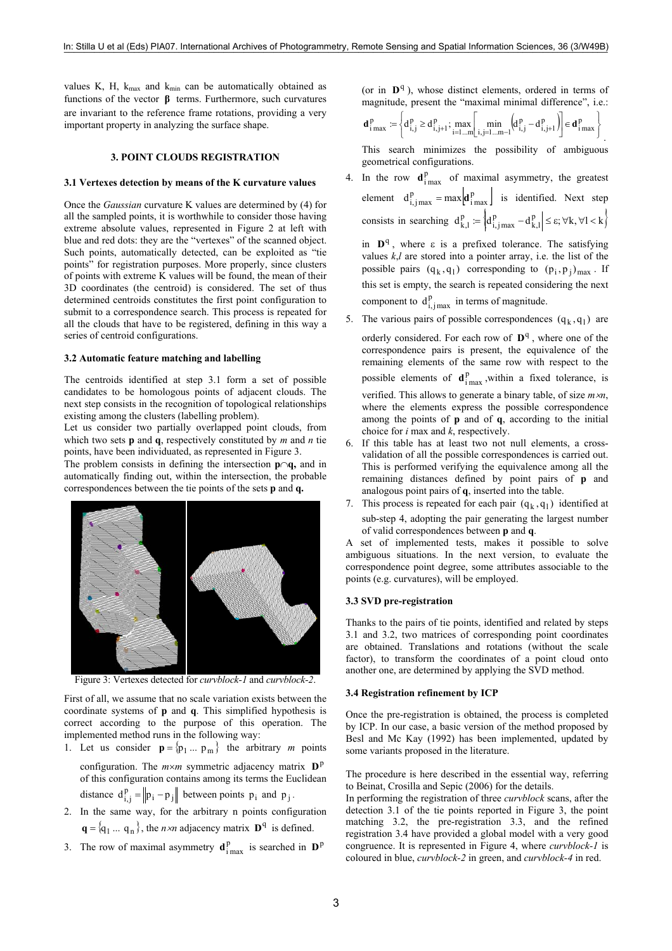values K, H,  $k_{max}$  and  $k_{min}$  can be automatically obtained as functions of the vector **β** terms. Furthermore, such curvatures are invariant to the reference frame rotations, providing a very important property in analyzing the surface shape.

## **3. POINT CLOUDS REGISTRATION**

#### **3.1 Vertexes detection by means of the K curvature values**

Once the *Gaussian* curvature K values are determined by (4) for all the sampled points, it is worthwhile to consider those having extreme absolute values, represented in Figure 2 at left with blue and red dots: they are the "vertexes" of the scanned object. Such points, automatically detected, can be exploited as "tie points" for registration purposes. More properly, since clusters of points with extreme K values will be found, the mean of their 3D coordinates (the centroid) is considered. The set of thus determined centroids constitutes the first point configuration to submit to a correspondence search. This process is repeated for all the clouds that have to be registered, defining in this way a series of centroid configurations.

## **3.2 Automatic feature matching and labelling**

The centroids identified at step 3.1 form a set of possible candidates to be homologous points of adjacent clouds. The next step consists in the recognition of topological relationships existing among the clusters (labelling problem).

Let us consider two partially overlapped point clouds, from which two sets **p** and **q**, respectively constituted by *m* and *n* tie points, have been individuated, as represented in Figure 3.

The problem consists in defining the intersection **p**∩**q,** and in automatically finding out, within the intersection, the probable correspondences between the tie points of the sets **p** and **q.**



Figure 3: Vertexes detected for *curvblock-1* and *curvblock-2*.

First of all, we assume that no scale variation exists between the coordinate systems of **p** and **q**. This simplified hypothesis is correct according to the purpose of this operation. The implemented method runs in the following way:

- 1. Let us consider  $\mathbf{p} = \{ \mathbf{p}_1 ... \mathbf{p}_m \}$  the arbitrary *m* points configuration. The  $m \times m$  symmetric adjacency matrix  $D^p$ of this configuration contains among its terms the Euclidean distance  $d_{i,j}^p = ||p_i - p_j||$  between points  $p_i$  and  $p_j$ .
- 2. In the same way, for the arbitrary n points configuration  ${\bf q} = {\bf q_1 ... q_n}$ , the *n ×n* adjacency matrix  ${\bf D}^q$  is defined.
- 3. The row of maximal asymmetry  $\mathbf{d}_{\text{i max}}^p$  is searched in  $\mathbf{D}^p$

(or in  $\mathbf{D}^{q}$ ), whose distinct elements, ordered in terms of magnitude, present the "maximal minimal difference", i.e.:

$$
\mathbf{d}_{i \max}^{\mathrm{p}} := \left\{ d_{i,j}^{\mathrm{p}} \geq d_{i,j+1}^{\mathrm{p}}; \max_{i=1...m} \left[ \min_{i,j=1...m-1} \left( d_{i,j}^{\mathrm{p}} - d_{i,j+1}^{\mathrm{p}} \right) \right] \in \mathbf{d}_{i \max}^{\mathrm{p}} \right\}
$$

.

This search minimizes the possibility of ambiguous geometrical configurations.

4. In the row  $\mathbf{d}_{\text{imax}}^{\text{p}}$  of maximal asymmetry, the greatest element  $d_{i,jmax}^p = max \left[ d_{imax}^p \right]$  is identified. Next step consists in searching  $d_{k,l}^p := \left\{ d_{i,j}^p \atop j \neq j} - d_{k,l}^p \right\} \leq \varepsilon, \forall k, \forall l < k \right\}$ 

in  $\mathbf{D}^{q}$ , where  $\varepsilon$  is a prefixed tolerance. The satisfying values *k*,*l* are stored into a pointer array, i.e. the list of the possible pairs  $(q_k, q_1)$  corresponding to  $(p_i, p_i)_{max}$ . If this set is empty, the search is repeated considering the next component to  $d_{i,jmax}^p$  in terms of magnitude.

- 5. The various pairs of possible correspondences  $(q_k, q_l)$  are orderly considered. For each row of  $\mathbf{D}^{q}$ , where one of the correspondence pairs is present, the equivalence of the remaining elements of the same row with respect to the possible elements of  $\mathbf{d}_{\text{i max}}^{\text{p}}$ , within a fixed tolerance, is verified. This allows to generate a binary table, of size *m*×*n*, where the elements express the possible correspondence among the points of **p** and of **q**, according to the initial choice for *i* max and *k*, respectively.
- 6. If this table has at least two not null elements, a crossvalidation of all the possible correspondences is carried out. This is performed verifying the equivalence among all the remaining distances defined by point pairs of **p** and analogous point pairs of **q**, inserted into the table.
- 7. This process is repeated for each pair  $(q_k, q_l)$  identified at sub-step 4, adopting the pair generating the largest number of valid correspondences between **p** and **q**.

A set of implemented tests, makes it possible to solve ambiguous situations. In the next version, to evaluate the correspondence point degree, some attributes associable to the points (e.g. curvatures), will be employed.

## **3.3 SVD pre-registration**

Thanks to the pairs of tie points, identified and related by steps 3.1 and 3.2, two matrices of corresponding point coordinates are obtained. Translations and rotations (without the scale factor), to transform the coordinates of a point cloud onto another one, are determined by applying the SVD method.

#### **3.4 Registration refinement by ICP**

Once the pre-registration is obtained, the process is completed by ICP. In our case, a basic version of the method proposed by Besl and Mc Kay (1992) has been implemented, updated by some variants proposed in the literature.

The procedure is here described in the essential way, referring to Beinat, Crosilla and Sepic (2006) for the details.

In performing the registration of three *curvblock* scans, after the detection 3.1 of the tie points reported in Figure 3, the point matching 3.2, the pre-registration 3.3, and the refined registration 3.4 have provided a global model with a very good congruence. It is represented in Figure 4, where *curvblock-1* is coloured in blue, *curvblock-2* in green, and *curvblock-4* in red.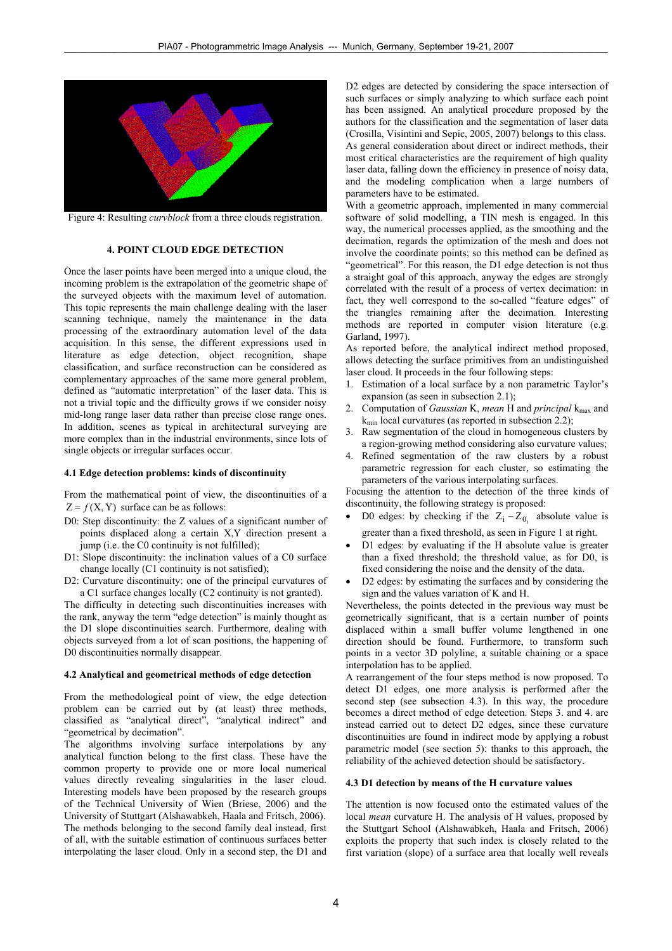

Figure 4: Resulting *curvblock* from a three clouds registration.

## **4. POINT CLOUD EDGE DETECTION**

Once the laser points have been merged into a unique cloud, the incoming problem is the extrapolation of the geometric shape of the surveyed objects with the maximum level of automation. This topic represents the main challenge dealing with the laser scanning technique, namely the maintenance in the data processing of the extraordinary automation level of the data acquisition. In this sense, the different expressions used in literature as edge detection, object recognition, shape classification, and surface reconstruction can be considered as complementary approaches of the same more general problem, defined as "automatic interpretation" of the laser data. This is not a trivial topic and the difficulty grows if we consider noisy mid-long range laser data rather than precise close range ones. In addition, scenes as typical in architectural surveying are more complex than in the industrial environments, since lots of single objects or irregular surfaces occur.

#### **4.1 Edge detection problems: kinds of discontinuity**

From the mathematical point of view, the discontinuities of a  $Z = f(X, Y)$  surface can be as follows:

- D0: Step discontinuity: the Z values of a significant number of points displaced along a certain X,Y direction present a jump (i.e. the C0 continuity is not fulfilled);
- D1: Slope discontinuity: the inclination values of a C0 surface change locally (C1 continuity is not satisfied);
- D2: Curvature discontinuity: one of the principal curvatures of a C1 surface changes locally (C2 continuity is not granted).

The difficulty in detecting such discontinuities increases with the rank, anyway the term "edge detection" is mainly thought as the D1 slope discontinuities search. Furthermore, dealing with objects surveyed from a lot of scan positions, the happening of D0 discontinuities normally disappear.

## **4.2 Analytical and geometrical methods of edge detection**

From the methodological point of view, the edge detection problem can be carried out by (at least) three methods, classified as "analytical direct", "analytical indirect" and "geometrical by decimation".

The algorithms involving surface interpolations by any analytical function belong to the first class. These have the common property to provide one or more local numerical values directly revealing singularities in the laser cloud. Interesting models have been proposed by the research groups of the Technical University of Wien (Briese, 2006) and the University of Stuttgart (Alshawabkeh, Haala and Fritsch, 2006). The methods belonging to the second family deal instead, first of all, with the suitable estimation of continuous surfaces better interpolating the laser cloud. Only in a second step, the D1 and D2 edges are detected by considering the space intersection of such surfaces or simply analyzing to which surface each point has been assigned. An analytical procedure proposed by the authors for the classification and the segmentation of laser data (Crosilla, Visintini and Sepic, 2005, 2007) belongs to this class. As general consideration about direct or indirect methods, their most critical characteristics are the requirement of high quality laser data, falling down the efficiency in presence of noisy data, and the modeling complication when a large numbers of parameters have to be estimated.

With a geometric approach, implemented in many commercial software of solid modelling, a TIN mesh is engaged. In this way, the numerical processes applied, as the smoothing and the decimation, regards the optimization of the mesh and does not involve the coordinate points; so this method can be defined as "geometrical". For this reason, the D1 edge detection is not thus a straight goal of this approach, anyway the edges are strongly correlated with the result of a process of vertex decimation: in fact, they well correspond to the so-called "feature edges" of the triangles remaining after the decimation. Interesting methods are reported in computer vision literature (e.g. Garland, 1997).

As reported before, the analytical indirect method proposed, allows detecting the surface primitives from an undistinguished laser cloud. It proceeds in the four following steps:

- 1. Estimation of a local surface by a non parametric Taylor's expansion (as seen in subsection 2.1);
- 2. Computation of *Gaussian* K, *mean* H and *principal* k<sub>max</sub> and  $k_{\text{min}}$  local curvatures (as reported in subsection 2.2);
- 3. Raw segmentation of the cloud in homogeneous clusters by a region-growing method considering also curvature values;
- 4. Refined segmentation of the raw clusters by a robust parametric regression for each cluster, so estimating the parameters of the various interpolating surfaces.

Focusing the attention to the detection of the three kinds of discontinuity, the following strategy is proposed:

- D0 edges: by checking if the  $Z_i Z_{0_i}$  absolute value is greater than a fixed threshold, as seen in Figure 1 at right.
- D1 edges: by evaluating if the H absolute value is greater than a fixed threshold; the threshold value, as for D0, is fixed considering the noise and the density of the data.
- D2 edges: by estimating the surfaces and by considering the sign and the values variation of K and H.

Nevertheless, the points detected in the previous way must be geometrically significant, that is a certain number of points displaced within a small buffer volume lengthened in one direction should be found. Furthermore, to transform such points in a vector 3D polyline, a suitable chaining or a space interpolation has to be applied.

A rearrangement of the four steps method is now proposed. To detect D1 edges, one more analysis is performed after the second step (see subsection 4.3). In this way, the procedure becomes a direct method of edge detection. Steps 3. and 4. are instead carried out to detect D2 edges, since these curvature discontinuities are found in indirect mode by applying a robust parametric model (see section 5): thanks to this approach, the reliability of the achieved detection should be satisfactory.

## **4.3 D1 detection by means of the H curvature values**

The attention is now focused onto the estimated values of the local *mean* curvature H. The analysis of H values, proposed by the Stuttgart School (Alshawabkeh, Haala and Fritsch, 2006) exploits the property that such index is closely related to the first variation (slope) of a surface area that locally well reveals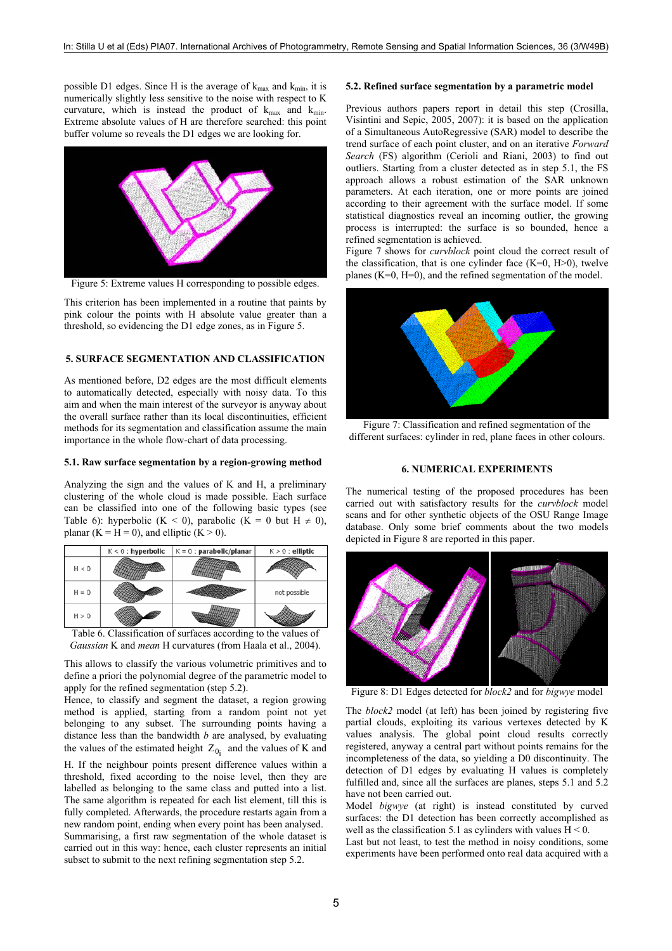possible D1 edges. Since H is the average of  $k_{\text{max}}$  and  $k_{\text{min}}$ , it is numerically slightly less sensitive to the noise with respect to K curvature, which is instead the product of  $k_{max}$  and  $k_{min}$ . Extreme absolute values of H are therefore searched: this point buffer volume so reveals the D1 edges we are looking for.



Figure 5: Extreme values H corresponding to possible edges.

This criterion has been implemented in a routine that paints by pink colour the points with H absolute value greater than a threshold, so evidencing the D1 edge zones, as in Figure 5.

## **5. SURFACE SEGMENTATION AND CLASSIFICATION**

As mentioned before, D2 edges are the most difficult elements to automatically detected, especially with noisy data. To this aim and when the main interest of the surveyor is anyway about the overall surface rather than its local discontinuities, efficient methods for its segmentation and classification assume the main importance in the whole flow-chart of data processing.

## **5.1. Raw surface segmentation by a region-growing method**

Analyzing the sign and the values of K and H, a preliminary clustering of the whole cloud is made possible. Each surface can be classified into one of the following basic types (see Table 6): hyperbolic (K < 0), parabolic (K = 0 but H  $\neq$  0), planar  $(K = H = 0)$ , and elliptic  $(K > 0)$ .

|         | $K < 0$ : hyperbolic | $K = 0$ : parabolic/planar | $K > 0$ : elliptic |
|---------|----------------------|----------------------------|--------------------|
| H < 0   |                      |                            |                    |
| $H = 0$ |                      |                            | not possible       |
| H > 0   |                      |                            |                    |

Table 6. Classification of surfaces according to the values of *Gaussian* K and *mean* H curvatures (from Haala et al., 2004).

This allows to classify the various volumetric primitives and to define a priori the polynomial degree of the parametric model to apply for the refined segmentation (step 5.2).

Hence, to classify and segment the dataset, a region growing method is applied, starting from a random point not yet belonging to any subset. The surrounding points having a distance less than the bandwidth *b* are analysed, by evaluating the values of the estimated height  $Z_{0i}$  and the values of K and

H. If the neighbour points present difference values within a threshold, fixed according to the noise level, then they are labelled as belonging to the same class and putted into a list. The same algorithm is repeated for each list element, till this is fully completed. Afterwards, the procedure restarts again from a new random point, ending when every point has been analysed. Summarising, a first raw segmentation of the whole dataset is carried out in this way: hence, each cluster represents an initial subset to submit to the next refining segmentation step 5.2.

## **5.2. Refined surface segmentation by a parametric model**

Previous authors papers report in detail this step (Crosilla, Visintini and Sepic, 2005, 2007): it is based on the application of a Simultaneous AutoRegressive (SAR) model to describe the trend surface of each point cluster, and on an iterative *Forward Search* (FS) algorithm (Cerioli and Riani, 2003) to find out outliers. Starting from a cluster detected as in step 5.1, the FS approach allows a robust estimation of the SAR unknown parameters. At each iteration, one or more points are joined according to their agreement with the surface model. If some statistical diagnostics reveal an incoming outlier, the growing process is interrupted: the surface is so bounded, hence a refined segmentation is achieved.

Figure 7 shows for *curvblock* point cloud the correct result of the classification, that is one cylinder face  $(K=0, H>0)$ , twelve planes  $(K=0, H=0)$ , and the refined segmentation of the model.



Figure 7: Classification and refined segmentation of the different surfaces: cylinder in red, plane faces in other colours.

## **6. NUMERICAL EXPERIMENTS**

The numerical testing of the proposed procedures has been carried out with satisfactory results for the *curvblock* model scans and for other synthetic objects of the OSU Range Image database. Only some brief comments about the two models depicted in Figure 8 are reported in this paper.



Figure 8: D1 Edges detected for *block2* and for *bigwye* model

The *block2* model (at left) has been joined by registering five partial clouds, exploiting its various vertexes detected by K values analysis. The global point cloud results correctly registered, anyway a central part without points remains for the incompleteness of the data, so yielding a D0 discontinuity. The detection of D1 edges by evaluating H values is completely fulfilled and, since all the surfaces are planes, steps 5.1 and 5.2 have not been carried out.

Model *bigwye* (at right) is instead constituted by curved surfaces: the D1 detection has been correctly accomplished as well as the classification 5.1 as cylinders with values  $H < 0$ .

Last but not least, to test the method in noisy conditions, some experiments have been performed onto real data acquired with a